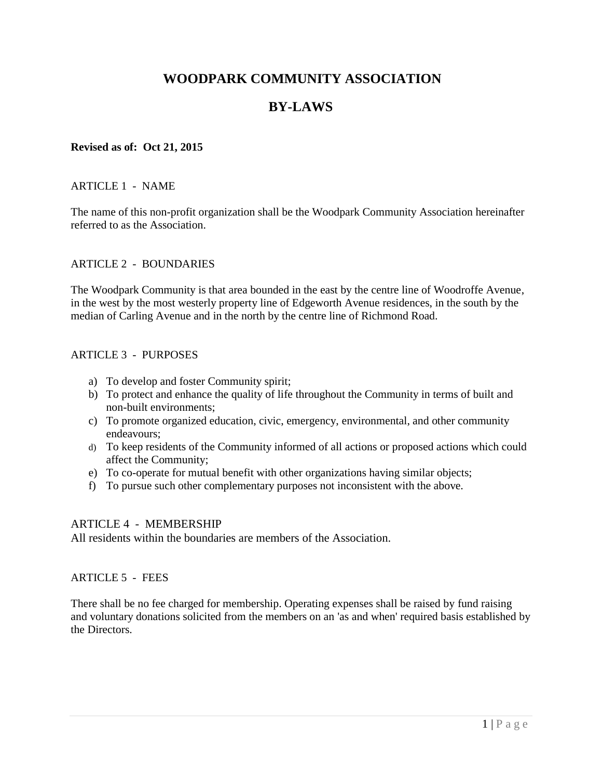# **WOODPARK COMMUNITY ASSOCIATION**

# **BY-LAWS**

#### **Revised as of: Oct 21, 2015**

#### ARTICLE 1 - NAME

The name of this non-profit organization shall be the Woodpark Community Association hereinafter referred to as the Association.

#### ARTICLE 2 - BOUNDARIES

The Woodpark Community is that area bounded in the east by the centre line of Woodroffe Avenue, in the west by the most westerly property line of Edgeworth Avenue residences, in the south by the median of Carling Avenue and in the north by the centre line of Richmond Road.

#### ARTICLE 3 - PURPOSES

- a) To develop and foster Community spirit;
- b) To protect and enhance the quality of life throughout the Community in terms of built and non-built environments;
- c) To promote organized education, civic, emergency, environmental, and other community endeavours;
- d) To keep residents of the Community informed of all actions or proposed actions which could affect the Community;
- e) To co-operate for mutual benefit with other organizations having similar objects;
- f) To pursue such other complementary purposes not inconsistent with the above.

#### ARTICLE 4 - MEMBERSHIP

All residents within the boundaries are members of the Association.

#### ARTICLE 5 - FEES

There shall be no fee charged for membership. Operating expenses shall be raised by fund raising and voluntary donations solicited from the members on an 'as and when' required basis established by the Directors.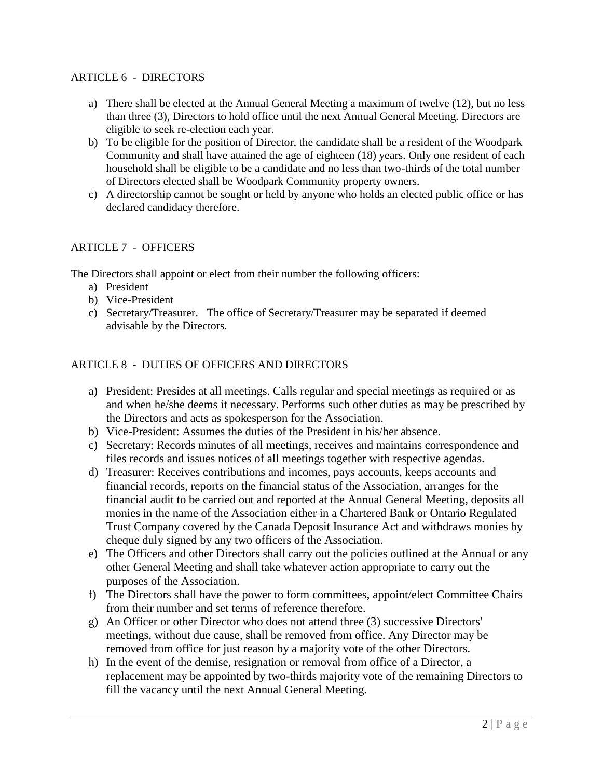### ARTICLE 6 - DIRECTORS

- a) There shall be elected at the Annual General Meeting a maximum of twelve (12), but no less than three (3), Directors to hold office until the next Annual General Meeting. Directors are eligible to seek re-election each year.
- b) To be eligible for the position of Director, the candidate shall be a resident of the Woodpark Community and shall have attained the age of eighteen (18) years. Only one resident of each household shall be eligible to be a candidate and no less than two-thirds of the total number of Directors elected shall be Woodpark Community property owners.
- c) A directorship cannot be sought or held by anyone who holds an elected public office or has declared candidacy therefore.

#### ARTICLE 7 - OFFICERS

The Directors shall appoint or elect from their number the following officers:

- a) President
- b) Vice-President
- c) Secretary/Treasurer. The office of Secretary/Treasurer may be separated if deemed advisable by the Directors.

### ARTICLE 8 - DUTIES OF OFFICERS AND DIRECTORS

- a) President: Presides at all meetings. Calls regular and special meetings as required or as and when he/she deems it necessary. Performs such other duties as may be prescribed by the Directors and acts as spokesperson for the Association.
- b) Vice-President: Assumes the duties of the President in his/her absence.
- c) Secretary: Records minutes of all meetings, receives and maintains correspondence and files records and issues notices of all meetings together with respective agendas.
- d) Treasurer: Receives contributions and incomes, pays accounts, keeps accounts and financial records, reports on the financial status of the Association, arranges for the financial audit to be carried out and reported at the Annual General Meeting, deposits all monies in the name of the Association either in a Chartered Bank or Ontario Regulated Trust Company covered by the Canada Deposit Insurance Act and withdraws monies by cheque duly signed by any two officers of the Association.
- e) The Officers and other Directors shall carry out the policies outlined at the Annual or any other General Meeting and shall take whatever action appropriate to carry out the purposes of the Association.
- f) The Directors shall have the power to form committees, appoint/elect Committee Chairs from their number and set terms of reference therefore.
- g) An Officer or other Director who does not attend three (3) successive Directors' meetings, without due cause, shall be removed from office. Any Director may be removed from office for just reason by a majority vote of the other Directors.
- h) In the event of the demise, resignation or removal from office of a Director, a replacement may be appointed by two-thirds majority vote of the remaining Directors to fill the vacancy until the next Annual General Meeting.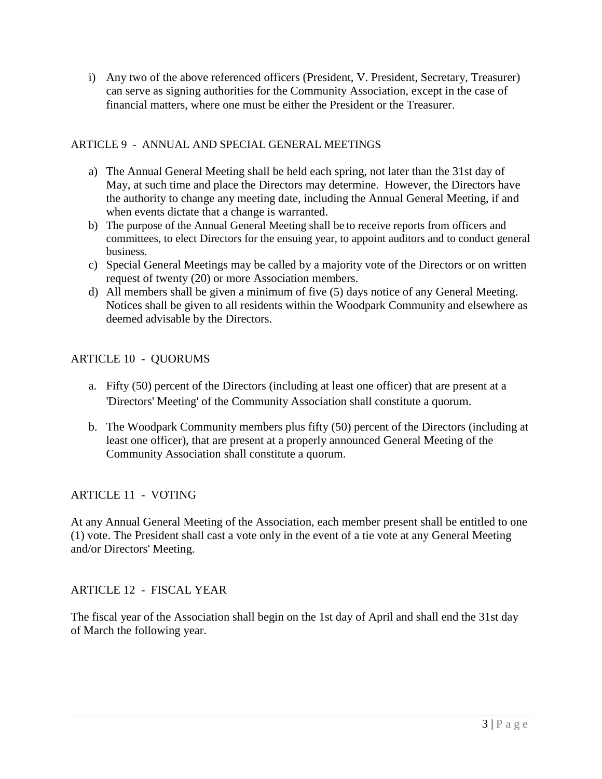i) Any two of the above referenced officers (President, V. President, Secretary, Treasurer) can serve as signing authorities for the Community Association, except in the case of financial matters, where one must be either the President or the Treasurer.

## ARTICLE 9 - ANNUAL AND SPECIAL GENERAL MEETINGS

- a) The Annual General Meeting shall be held each spring, not later than the 31st day of May, at such time and place the Directors may determine. However, the Directors have the authority to change any meeting date, including the Annual General Meeting, if and when events dictate that a change is warranted.
- b) The purpose of the Annual General Meeting shall be to receive reports from officers and committees, to elect Directors for the ensuing year, to appoint auditors and to conduct general business.
- c) Special General Meetings may be called by a majority vote of the Directors or on written request of twenty (20) or more Association members.
- d) All members shall be given a minimum of five (5) days notice of any General Meeting. Notices shall be given to all residents within the Woodpark Community and elsewhere as deemed advisable by the Directors.

# ARTICLE 10 - QUORUMS

- a. Fifty (50) percent of the Directors (including at least one officer) that are present at a 'Directors' Meeting' of the Community Association shall constitute a quorum.
- b. The Woodpark Community members plus fifty (50) percent of the Directors (including at least one officer), that are present at a properly announced General Meeting of the Community Association shall constitute a quorum.

# ARTICLE 11 - VOTING

At any Annual General Meeting of the Association, each member present shall be entitled to one (1) vote. The President shall cast a vote only in the event of a tie vote at any General Meeting and/or Directors' Meeting.

# ARTICLE 12 - FISCAL YEAR

The fiscal year of the Association shall begin on the 1st day of April and shall end the 31st day of March the following year.